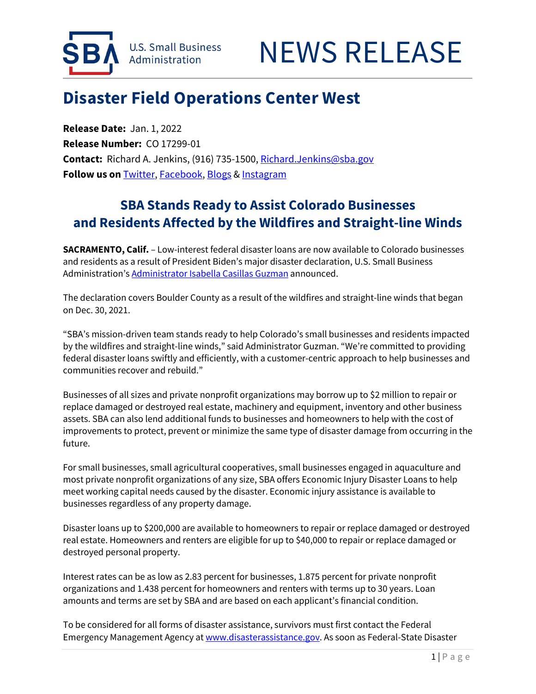



## **Disaster Field Operations Center West**

**Release Date:** Jan. 1, 2022 **Release Number:** CO 17299-01 **Contact:** Richard A. Jenkins, (916) 735-1500[, Richard.Jenkins@sba.gov](mailto:Richard.Jenkins@sba.gov) **Follow us on** [Twitter,](http://www.twitter.com/SBAgov) [Facebook,](http://www.facebook.com/sbagov) [Blogs](http://www.sba.gov/blogs) [& Instagram](https://www.instagram.com/sbagov/)

## **SBA Stands Ready to Assist Colorado Businesses and Residents Affected by the Wildfires and Straight-line Winds**

**SACRAMENTO, Calif.** – Low-interest federal disaster loans are now available to Colorado businesses and residents as a result of President Biden's major disaster declaration, U.S. Small Business Administration'[s Administrator Isabella Casillas Guzman](https://www.sba.gov/person/isabella-casillas-guzman) announced.

The declaration covers Boulder County as a result of the wildfires and straight-line winds that began on Dec. 30, 2021.

"SBA's mission-driven team stands ready to help Colorado's small businesses and residents impacted by the wildfires and straight-line winds," said Administrator Guzman. "We're committed to providing federal disaster loans swiftly and efficiently, with a customer-centric approach to help businesses and communities recover and rebuild."

Businesses of all sizes and private nonprofit organizations may borrow up to \$2 million to repair or replace damaged or destroyed real estate, machinery and equipment, inventory and other business assets. SBA can also lend additional funds to businesses and homeowners to help with the cost of improvements to protect, prevent or minimize the same type of disaster damage from occurring in the future.

For small businesses, small agricultural cooperatives, small businesses engaged in aquaculture and most private nonprofit organizations of any size, SBA offers Economic Injury Disaster Loans to help meet working capital needs caused by the disaster. Economic injury assistance is available to businesses regardless of any property damage.

Disaster loans up to \$200,000 are available to homeowners to repair or replace damaged or destroyed real estate. Homeowners and renters are eligible for up to \$40,000 to repair or replace damaged or destroyed personal property.

Interest rates can be as low as 2.83 percent for businesses, 1.875 percent for private nonprofit organizations and 1.438 percent for homeowners and renters with terms up to 30 years. Loan amounts and terms are set by SBA and are based on each applicant's financial condition.

To be considered for all forms of disaster assistance, survivors must first contact the Federal Emergency Management Agency at www.disasterassistance.gov. As soon as Federal-State Disaster